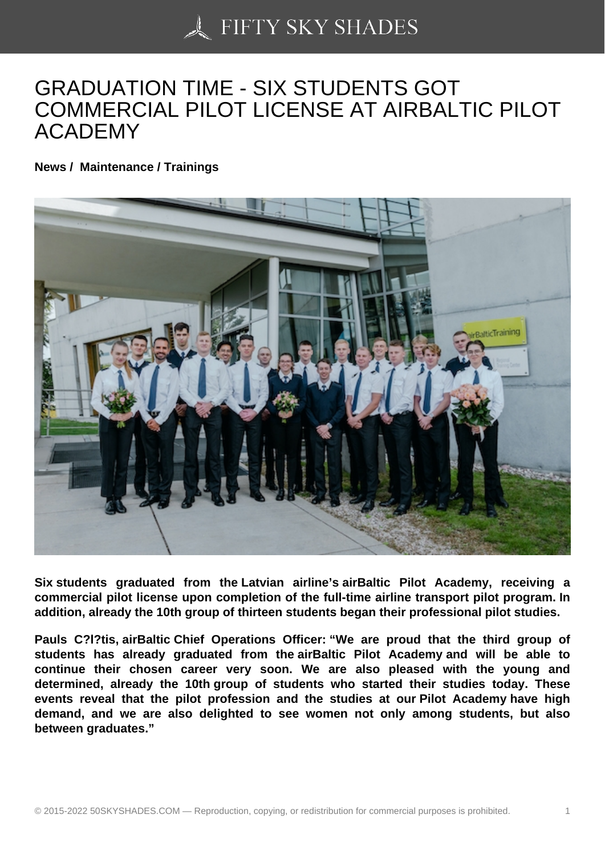## [GRADUATION TIME -](https://50skyshades.com) SIX STUDENTS GOT COMMERCIAL PILOT LICENSE AT AIRBALTIC PILOT ACADEMY

News / Maintenance / Trainings

Six students graduated from the Latvian airline's airBaltic Pilot Academy, receiving a commercial pilot license upon completion of the full-time airline transport pilot program. In addition, already the 10th group of thirteen students began their professional pilot studies.

Pauls C?l?tis, airBaltic Chief Operations Officer: "We are proud that the third group of students has already graduated from the airBaltic Pilot Academy and will be able to continue their chosen career very soon. We are also pleased with the young and determined, already the 10th group of students who started their studies today. These events reveal that the pilot profession and the studies at our Pilot Academy have high demand, and we are also delighted to see women not only among students, but also between graduates."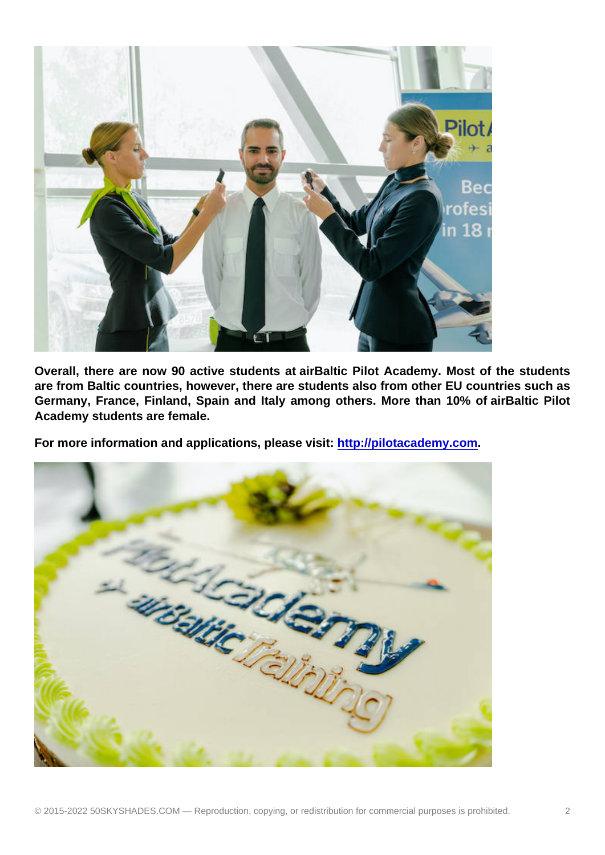Overall, there are now 90 active students at airBaltic Pilot Academy. Most of the students are from Baltic countries, however, there are students also from other EU countries such as Germany, France, Finland, Spain and Italy among others. More than 10% of airBaltic Pilot Academy students are female.

For more information and applications, please visit: http://pilotacademy.com .